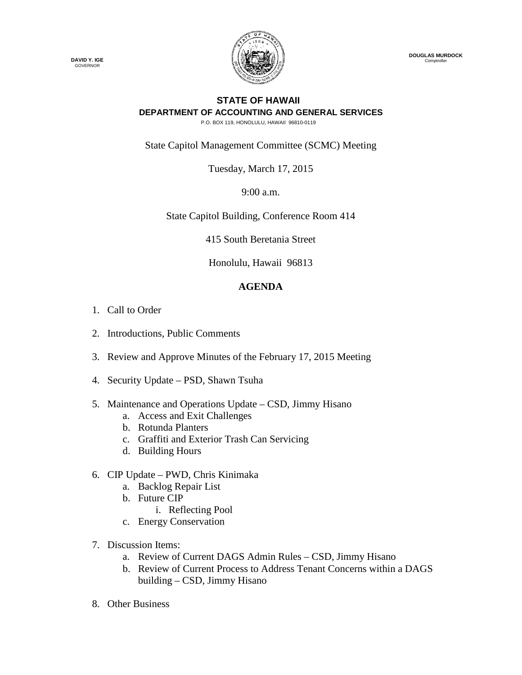

 **DOUGLAS MURDOCK** Comptroller

## **STATE OF HAWAII DEPARTMENT OF ACCOUNTING AND GENERAL SERVICES**

P.O. BOX 119, HONOLULU, HAWAII 96810-0119

State Capitol Management Committee (SCMC) Meeting

Tuesday, March 17, 2015

9:00 a.m.

State Capitol Building, Conference Room 414

415 South Beretania Street

Honolulu, Hawaii 96813

## **AGENDA**

- 1. Call to Order
- 2. Introductions, Public Comments
- 3. Review and Approve Minutes of the February 17, 2015 Meeting
- 4. Security Update PSD, Shawn Tsuha
- 5. Maintenance and Operations Update CSD, Jimmy Hisano
	- a. Access and Exit Challenges
	- b. Rotunda Planters
	- c. Graffiti and Exterior Trash Can Servicing
	- d. Building Hours
- 6. CIP Update PWD, Chris Kinimaka
	- a. Backlog Repair List
	- b. Future CIP
		- i. Reflecting Pool
	- c. Energy Conservation
- 7. Discussion Items:
	- a. Review of Current DAGS Admin Rules CSD, Jimmy Hisano
	- b. Review of Current Process to Address Tenant Concerns within a DAGS building – CSD, Jimmy Hisano
- 8. Other Business

**DAVID Y. IGE** GOVERNOR